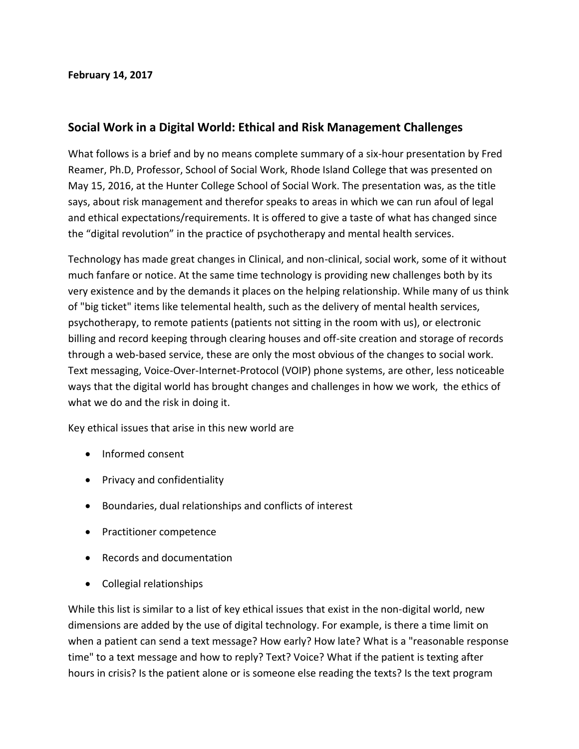## **February 14, 2017**

## **Social Work in a Digital World: Ethical and Risk Management Challenges**

What follows is a brief and by no means complete summary of a six-hour presentation by Fred Reamer, Ph.D, Professor, School of Social Work, Rhode Island College that was presented on May 15, 2016, at the Hunter College School of Social Work. The presentation was, as the title says, about risk management and therefor speaks to areas in which we can run afoul of legal and ethical expectations/requirements. It is offered to give a taste of what has changed since the "digital revolution" in the practice of psychotherapy and mental health services.

Technology has made great changes in Clinical, and non-clinical, social work, some of it without much fanfare or notice. At the same time technology is providing new challenges both by its very existence and by the demands it places on the helping relationship. While many of us think of "big ticket" items like telemental health, such as the delivery of mental health services, psychotherapy, to remote patients (patients not sitting in the room with us), or electronic billing and record keeping through clearing houses and off-site creation and storage of records through a web-based service, these are only the most obvious of the changes to social work. Text messaging, Voice-Over-Internet-Protocol (VOIP) phone systems, are other, less noticeable ways that the digital world has brought changes and challenges in how we work, the ethics of what we do and the risk in doing it.

Key ethical issues that arise in this new world are

- Informed consent
- Privacy and confidentiality
- Boundaries, dual relationships and conflicts of interest
- Practitioner competence
- Records and documentation
- Collegial relationships

While this list is similar to a list of key ethical issues that exist in the non-digital world, new dimensions are added by the use of digital technology. For example, is there a time limit on when a patient can send a text message? How early? How late? What is a "reasonable response time" to a text message and how to reply? Text? Voice? What if the patient is texting after hours in crisis? Is the patient alone or is someone else reading the texts? Is the text program